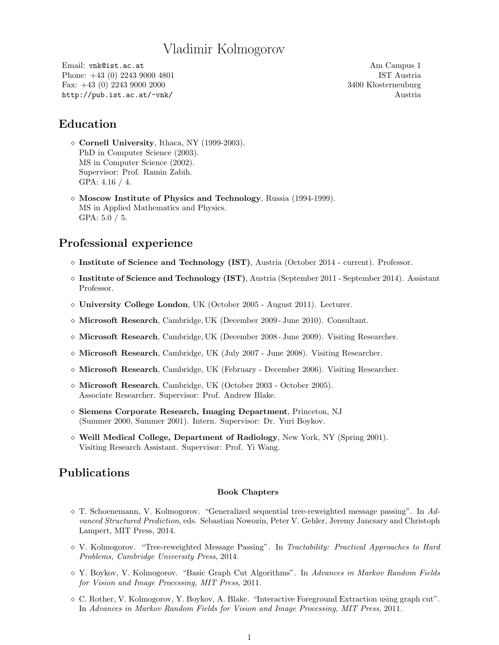# Vladimir Kolmogorov

Email: vnk@ist.ac.at Am Campus 1 Phone: +43 (0) 2243 9000 4801 **IST** Austria Fax: +43 (0) 2243 9000 2000 3400 Klosterneuburg http://pub.ist.ac.at/~vnk/ Austria

### Education

- $\diamond$  Cornell University, Ithaca, NY (1999-2003). PhD in Computer Science (2003). MS in Computer Science (2002). Supervisor: Prof. Ramin Zabih. GPA: 4.16 / 4.
- $\Diamond$  Moscow Institute of Physics and Technology, Russia (1994-1999). MS in Applied Mathematics and Physics. GPA:  $5.0 / 5$ .

### Professional experience

- $\circ$  Institute of Science and Technology (IST), Austria (October 2014 current). Professor.
- $\circ$  Institute of Science and Technology (IST), Austria (September 2011 September 2014). Assistant Professor.
- University College London, UK (October 2005 August 2011). Lecturer.
- $\Diamond$  Microsoft Research, Cambridge, UK (December 2009 June 2010). Consultant.
- $\Diamond$  Microsoft Research, Cambridge, UK (December 2008 June 2009). Visiting Researcher.
- $\Diamond$  Microsoft Research, Cambridge, UK (July 2007 June 2008). Visiting Researcher.
- $\Diamond$  Microsoft Research, Cambridge, UK (February December 2006). Visiting Researcher.
- Microsoft Research, Cambridge, UK (October 2003 October 2005). Associate Researcher. Supervisor: Prof. Andrew Blake.
- Siemens Corporate Research, Imaging Department, Princeton, NJ (Summer 2000, Summer 2001). Intern. Supervisor: Dr. Yuri Boykov.
- $\diamond$  Weill Medical College, Department of Radiology, New York, NY (Spring 2001). Visiting Research Assistant. Supervisor: Prof. Yi Wang.

### Publications

#### Book Chapters

- $\circ$  T. Schoenemann, V. Kolmogorov. "Generalized sequential tree-reweighted message passing". In Advanced Structured Prediction, eds. Sebastian Nowozin, Peter V. Gehler, Jeremy Jancsary and Christoph Lampert, MIT Press, 2014.
- $\Diamond$  V. Kolmogorov. "Tree-reweighted Message Passing". In Tractability: Practical Approaches to Hard Problems, Cambridge University Press, 2014.
- Y. Boykov, V. Kolmogorov. "Basic Graph Cut Algorithms". In Advances in Markov Random Fields for Vision and Image Processing, MIT Press, 2011.
- C. Rother, V. Kolmogorov, Y. Boykov, A. Blake. "Interactive Foreground Extraction using graph cut". In Advances in Markov Random Fields for Vision and Image Processing, MIT Press, 2011.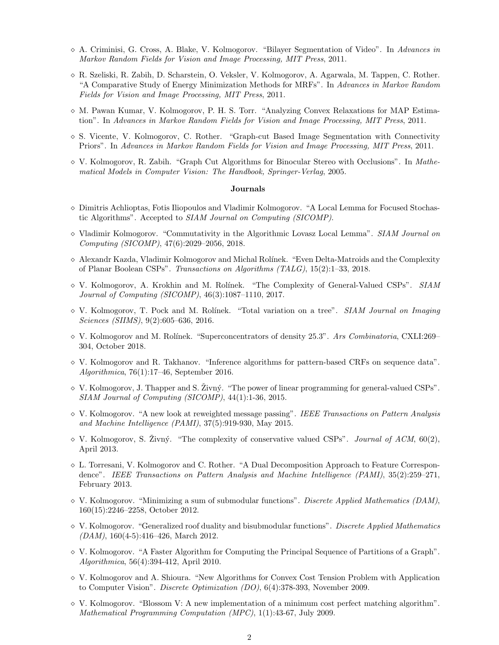- $\Diamond$  A. Criminisi, G. Cross, A. Blake, V. Kolmogorov. "Bilayer Segmentation of Video". In Advances in Markov Random Fields for Vision and Image Processing, MIT Press, 2011.
- R. Szeliski, R. Zabih, D. Scharstein, O. Veksler, V. Kolmogorov, A. Agarwala, M. Tappen, C. Rother. "A Comparative Study of Energy Minimization Methods for MRFs". In Advances in Markov Random Fields for Vision and Image Processing, MIT Press, 2011.
- $\lozenge$  M. Pawan Kumar, V. Kolmogorov, P. H. S. Torr. "Analyzing Convex Relaxations for MAP Estimation". In Advances in Markov Random Fields for Vision and Image Processing, MIT Press, 2011.
- $\infty$  S. Vicente, V. Kolmogorov, C. Rother. "Graph-cut Based Image Segmentation with Connectivity Priors". In Advances in Markov Random Fields for Vision and Image Processing, MIT Press, 2011.
- $\Diamond$  V. Kolmogorov, R. Zabih. "Graph Cut Algorithms for Binocular Stereo with Occlusions". In *Mathe*matical Models in Computer Vision: The Handbook, Springer-Verlag, 2005.

#### Journals

- $\Diamond$  Dimitris Achlioptas, Fotis Iliopoulos and Vladimir Kolmogorov. "A Local Lemma for Focused Stochastic Algorithms". Accepted to SIAM Journal on Computing (SICOMP).
- $\Diamond$  Vladimir Kolmogorov. "Commutativity in the Algorithmic Lovasz Local Lemma". SIAM Journal on Computing (SICOMP), 47(6):2029–2056, 2018.
- $\Diamond$  Alexandr Kazda, Vladimir Kolmogorov and Michal Rolínek. "Even Delta-Matroids and the Complexity of Planar Boolean CSPs". Transactions on Algorithms (TALG), 15(2):1–33, 2018.
- $\Diamond$  V. Kolmogorov, A. Krokhin and M. Rolínek. "The Complexity of General-Valued CSPs". SIAM Journal of Computing (SICOMP), 46(3):1087–1110, 2017.
- $\Diamond$  V. Kolmogorov, T. Pock and M. Rolínek. "Total variation on a tree". SIAM Journal on Imaging Sciences (SIIMS), 9(2):605–636, 2016.
- $\Diamond$  V. Kolmogorov and M. Rolínek. "Superconcentrators of density 25.3". Ars Combinatoria, CXLI:269– 304, October 2018.
- $\Diamond$  V. Kolmogorov and R. Takhanov. "Inference algorithms for pattern-based CRFs on sequence data". Algorithmica, 76(1):17–46, September 2016.
- $\Diamond$  V. Kolmogorov, J. Thapper and S.  $\mathrm{Zivn\acute{y}}$ . "The power of linear programming for general-valued CSPs". SIAM Journal of Computing (SICOMP), 44(1):1-36, 2015.
- $\Diamond$  V. Kolmogorov. "A new look at reweighted message passing". IEEE Transactions on Pattern Analysis and Machine Intelligence (PAMI), 37(5):919-930, May 2015.
- $\Diamond$  V. Kolmogorov, S. Zivný. "The complexity of conservative valued CSPs". Journal of ACM, 60(2), April 2013.
- L. Torresani, V. Kolmogorov and C. Rother. "A Dual Decomposition Approach to Feature Correspondence". IEEE Transactions on Pattern Analysis and Machine Intelligence (PAMI), 35(2):259–271, February 2013.
- $\Diamond$  V. Kolmogorov. "Minimizing a sum of submodular functions". Discrete Applied Mathematics (DAM), 160(15):2246–2258, October 2012.
- $\Diamond$  V. Kolmogorov. "Generalized roof duality and bisubmodular functions". Discrete Applied Mathematics  $(DAM)$ , 160(4-5):416–426, March 2012.
- $\Diamond$  V. Kolmogorov. "A Faster Algorithm for Computing the Principal Sequence of Partitions of a Graph". Algorithmica, 56(4):394-412, April 2010.
- V. Kolmogorov and A. Shioura. "New Algorithms for Convex Cost Tension Problem with Application to Computer Vision". Discrete Optimization (DO), 6(4):378-393, November 2009.
- $\Diamond$  V. Kolmogorov. "Blossom V: A new implementation of a minimum cost perfect matching algorithm". Mathematical Programming Computation (MPC), 1(1):43-67, July 2009.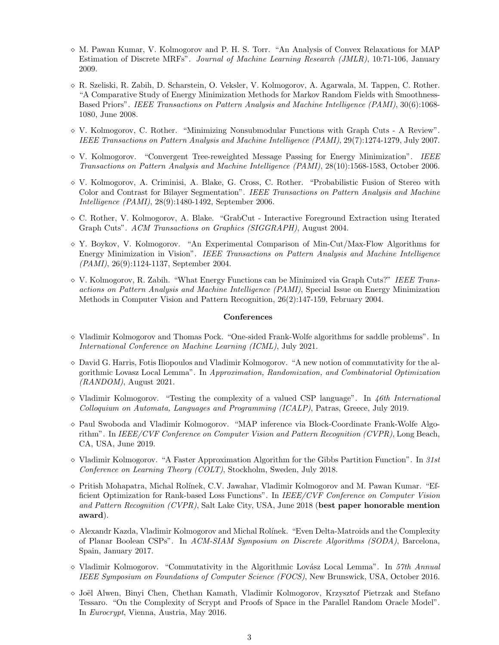- $\Diamond$  M. Pawan Kumar, V. Kolmogorov and P. H. S. Torr. "An Analysis of Convex Relaxations for MAP Estimation of Discrete MRFs". Journal of Machine Learning Research (JMLR), 10:71-106, January 2009.
- R. Szeliski, R. Zabih, D. Scharstein, O. Veksler, V. Kolmogorov, A. Agarwala, M. Tappen, C. Rother. "A Comparative Study of Energy Minimization Methods for Markov Random Fields with Smoothness-Based Priors". IEEE Transactions on Pattern Analysis and Machine Intelligence (PAMI), 30(6):1068- 1080, June 2008.
- $\Diamond$  V. Kolmogorov, C. Rother. "Minimizing Nonsubmodular Functions with Graph Cuts A Review". IEEE Transactions on Pattern Analysis and Machine Intelligence (PAMI), 29(7):1274-1279, July 2007.
- $\Diamond$  V. Kolmogorov. "Convergent Tree-reweighted Message Passing for Energy Minimization". IEEE Transactions on Pattern Analysis and Machine Intelligence (PAMI), 28(10):1568-1583, October 2006.
- V. Kolmogorov, A. Criminisi, A. Blake, G. Cross, C. Rother. "Probabilistic Fusion of Stereo with Color and Contrast for Bilayer Segmentation". IEEE Transactions on Pattern Analysis and Machine Intelligence (PAMI), 28(9):1480-1492, September 2006.
- $\Diamond$  C. Rother, V. Kolmogorov, A. Blake. "GrabCut Interactive Foreground Extraction using Iterated Graph Cuts". ACM Transactions on Graphics (SIGGRAPH), August 2004.
- $\Diamond$  Y. Boykov, V. Kolmogorov. "An Experimental Comparison of Min-Cut/Max-Flow Algorithms for Energy Minimization in Vision". IEEE Transactions on Pattern Analysis and Machine Intelligence (PAMI), 26(9):1124-1137, September 2004.
- $\Diamond$  V. Kolmogorov, R. Zabih. "What Energy Functions can be Minimized via Graph Cuts?" IEEE Transactions on Pattern Analysis and Machine Intelligence (PAMI), Special Issue on Energy Minimization Methods in Computer Vision and Pattern Recognition, 26(2):147-159, February 2004.

#### **Conferences**

- $\Diamond$  Vladimir Kolmogorov and Thomas Pock. "One-sided Frank-Wolfe algorithms for saddle problems". In International Conference on Machine Learning (ICML), July 2021.
- $\Diamond$  David G. Harris, Fotis Iliopoulos and Vladimir Kolmogorov. "A new notion of commutativity for the algorithmic Lovasz Local Lemma". In Approximation, Randomization, and Combinatorial Optimization  $(RANDOM)$ , August 2021.
- $\Diamond$  Vladimir Kolmogorov. "Testing the complexity of a valued CSP language". In 46th International Colloquium on Automata, Languages and Programming (ICALP), Patras, Greece, July 2019.
- Paul Swoboda and Vladimir Kolmogorov. "MAP inference via Block-Coordinate Frank-Wolfe Algorithm". In IEEE/CVF Conference on Computer Vision and Pattern Recognition (CVPR), Long Beach, CA, USA, June 2019.
- $\Diamond$  Vladimir Kolmogorov. "A Faster Approximation Algorithm for the Gibbs Partition Function". In 31st Conference on Learning Theory (COLT), Stockholm, Sweden, July 2018.
- $\Diamond$  Pritish Mohapatra, Michal Rolínek, C.V. Jawahar, Vladimir Kolmogorov and M. Pawan Kumar. "Efficient Optimization for Rank-based Loss Functions". In IEEE/CVF Conference on Computer Vision and Pattern Recognition (CVPR), Salt Lake City, USA, June 2018 (best paper honorable mention award).
- $\Diamond$  Alexandr Kazda, Vladimir Kolmogorov and Michal Rolínek. "Even Delta-Matroids and the Complexity of Planar Boolean CSPs". In ACM-SIAM Symposium on Discrete Algorithms (SODA), Barcelona, Spain, January 2017.
- $\Diamond$  Vladimir Kolmogorov. "Commutativity in the Algorithmic Lovász Local Lemma". In 57th Annual IEEE Symposium on Foundations of Computer Science (FOCS), New Brunswick, USA, October 2016.
- $\Diamond$  Joël Alwen, Binyi Chen, Chethan Kamath, Vladimir Kolmogorov, Krzysztof Pietrzak and Stefano Tessaro. "On the Complexity of Scrypt and Proofs of Space in the Parallel Random Oracle Model". In Eurocrypt, Vienna, Austria, May 2016.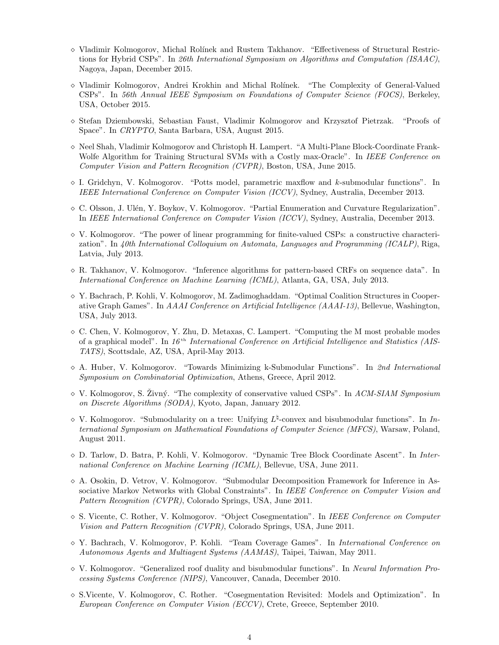- $\Diamond$  Vladimir Kolmogorov, Michal Rolínek and Rustem Takhanov. "Effectiveness of Structural Restrictions for Hybrid CSPs". In 26th International Symposium on Algorithms and Computation (ISAAC), Nagoya, Japan, December 2015.
- Vladimir Kolmogorov, Andrei Krokhin and Michal Rol´ınek. "The Complexity of General-Valued CSPs". In 56th Annual IEEE Symposium on Foundations of Computer Science (FOCS), Berkeley, USA, October 2015.
- Stefan Dziembowski, Sebastian Faust, Vladimir Kolmogorov and Krzysztof Pietrzak. "Proofs of Space". In CRYPTO, Santa Barbara, USA, August 2015.
- $\Diamond$  Neel Shah, Vladimir Kolmogorov and Christoph H. Lampert. "A Multi-Plane Block-Coordinate Frank-Wolfe Algorithm for Training Structural SVMs with a Costly max-Oracle". In IEEE Conference on Computer Vision and Pattern Recognition (CVPR), Boston, USA, June 2015.
- $\Diamond$  I. Gridchyn, V. Kolmogorov. "Potts model, parametric maxflow and k-submodular functions". In IEEE International Conference on Computer Vision (ICCV), Sydney, Australia, December 2013.
- $\circ$  C. Olsson, J. Ulén, Y. Boykov, V. Kolmogorov. "Partial Enumeration and Curvature Regularization". In IEEE International Conference on Computer Vision (ICCV), Sydney, Australia, December 2013.
- $\Diamond$  V. Kolmogorov. "The power of linear programming for finite-valued CSPs: a constructive characterization". In 40th International Colloquium on Automata, Languages and Programming (ICALP), Riga, Latvia, July 2013.
- $\Diamond$  R. Takhanov, V. Kolmogorov. "Inference algorithms for pattern-based CRFs on sequence data". In International Conference on Machine Learning (ICML), Atlanta, GA, USA, July 2013.
- Y. Bachrach, P. Kohli, V. Kolmogorov, M. Zadimoghaddam. "Optimal Coalition Structures in Cooperative Graph Games". In AAAI Conference on Artificial Intelligence (AAAI-13), Bellevue, Washington, USA, July 2013.
- $\Diamond$  C. Chen, V. Kolmogorov, Y. Zhu, D. Metaxas, C. Lampert. "Computing the M most probable modes of a graphical model". In  $16<sup>th</sup> International Conference on Artificial Intelligence and Statistics (AIS-$ TATS), Scottsdale, AZ, USA, April-May 2013.
- $\Diamond$  A. Huber, V. Kolmogorov. "Towards Minimizing k-Submodular Functions". In 2nd International Symposium on Combinatorial Optimization, Athens, Greece, April 2012.
- $\Diamond$  V. Kolmogorov, S. Živný. "The complexity of conservative valued CSPs". In ACM-SIAM Symposium on Discrete Algorithms (SODA), Kyoto, Japan, January 2012.
- $\Diamond$  V. Kolmogorov. "Submodularity on a tree: Unifying  $L^{\natural}$ -convex and bisubmodular functions". In International Symposium on Mathematical Foundations of Computer Science (MFCS), Warsaw, Poland, August 2011.
- $\Diamond$  D. Tarlow, D. Batra, P. Kohli, V. Kolmogorov. "Dynamic Tree Block Coordinate Ascent". In International Conference on Machine Learning (ICML), Bellevue, USA, June 2011.
- $\Diamond$  A. Osokin, D. Vetrov, V. Kolmogorov. "Submodular Decomposition Framework for Inference in Associative Markov Networks with Global Constraints". In IEEE Conference on Computer Vision and Pattern Recognition (CVPR), Colorado Springs, USA, June 2011.
- $\infty$  S. Vicente, C. Rother, V. Kolmogorov. "Object Cosegmentation". In IEEE Conference on Computer Vision and Pattern Recognition (CVPR), Colorado Springs, USA, June 2011.
- $\Diamond$  Y. Bachrach, V. Kolmogorov, P. Kohli. "Team Coverage Games". In International Conference on Autonomous Agents and Multiagent Systems (AAMAS), Taipei, Taiwan, May 2011.
- $\Diamond$  V. Kolmogorov. "Generalized roof duality and bisubmodular functions". In Neural Information Processing Systems Conference (NIPS), Vancouver, Canada, December 2010.
- S.Vicente, V. Kolmogorov, C. Rother. "Cosegmentation Revisited: Models and Optimization". In European Conference on Computer Vision (ECCV), Crete, Greece, September 2010.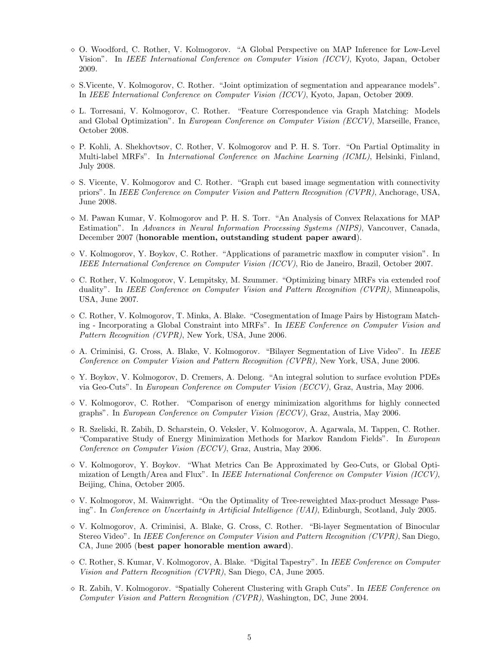- $\Diamond$  O. Woodford, C. Rother, V. Kolmogorov. "A Global Perspective on MAP Inference for Low-Level Vision". In IEEE International Conference on Computer Vision (ICCV), Kyoto, Japan, October 2009.
- $\Diamond$  S.Vicente, V. Kolmogorov, C. Rother. "Joint optimization of segmentation and appearance models". In IEEE International Conference on Computer Vision (ICCV), Kyoto, Japan, October 2009.
- L. Torresani, V. Kolmogorov, C. Rother. "Feature Correspondence via Graph Matching: Models and Global Optimization". In European Conference on Computer Vision (ECCV), Marseille, France, October 2008.
- P. Kohli, A. Shekhovtsov, C. Rother, V. Kolmogorov and P. H. S. Torr. "On Partial Optimality in Multi-label MRFs". In International Conference on Machine Learning (ICML), Helsinki, Finland, July 2008.
- $\Diamond$  S. Vicente, V. Kolmogorov and C. Rother. "Graph cut based image segmentation with connectivity priors". In IEEE Conference on Computer Vision and Pattern Recognition (CVPR), Anchorage, USA, June 2008.
- $\Diamond$  M. Pawan Kumar, V. Kolmogorov and P. H. S. Torr. "An Analysis of Convex Relaxations for MAP Estimation". In Advances in Neural Information Processing Systems (NIPS), Vancouver, Canada, December 2007 (honorable mention, outstanding student paper award).
- $\Diamond$  V. Kolmogorov, Y. Boykov, C. Rother. "Applications of parametric maxflow in computer vision". In IEEE International Conference on Computer Vision (ICCV), Rio de Janeiro, Brazil, October 2007.
- $\Diamond$  C. Rother, V. Kolmogorov, V. Lempitsky, M. Szummer. "Optimizing binary MRFs via extended roof duality". In IEEE Conference on Computer Vision and Pattern Recognition (CVPR), Minneapolis, USA, June 2007.
- $\Diamond$  C. Rother, V. Kolmogorov, T. Minka, A. Blake. "Cosegmentation of Image Pairs by Histogram Matching - Incorporating a Global Constraint into MRFs". In IEEE Conference on Computer Vision and Pattern Recognition (CVPR), New York, USA, June 2006.
- $\Diamond$  A. Criminisi, G. Cross, A. Blake, V. Kolmogorov. "Bilayer Segmentation of Live Video". In IEEE Conference on Computer Vision and Pattern Recognition (CVPR), New York, USA, June 2006.
- $\Diamond$  Y. Boykov, V. Kolmogorov, D. Cremers, A. Delong. "An integral solution to surface evolution PDEs via Geo-Cuts". In European Conference on Computer Vision (ECCV), Graz, Austria, May 2006.
- V. Kolmogorov, C. Rother. "Comparison of energy minimization algorithms for highly connected graphs". In European Conference on Computer Vision (ECCV), Graz, Austria, May 2006.
- R. Szeliski, R. Zabih, D. Scharstein, O. Veksler, V. Kolmogorov, A. Agarwala, M. Tappen, C. Rother. "Comparative Study of Energy Minimization Methods for Markov Random Fields". In European Conference on Computer Vision (ECCV), Graz, Austria, May 2006.
- V. Kolmogorov, Y. Boykov. "What Metrics Can Be Approximated by Geo-Cuts, or Global Optimization of Length/Area and Flux". In IEEE International Conference on Computer Vision (ICCV), Beijing, China, October 2005.
- $\Diamond$  V. Kolmogorov, M. Wainwright. "On the Optimality of Tree-reweighted Max-product Message Passing". In Conference on Uncertainty in Artificial Intelligence (UAI), Edinburgh, Scotland, July 2005.
- V. Kolmogorov, A. Criminisi, A. Blake, G. Cross, C. Rother. "Bi-layer Segmentation of Binocular Stereo Video". In IEEE Conference on Computer Vision and Pattern Recognition (CVPR), San Diego, CA, June 2005 (best paper honorable mention award).
- $\circ$  C. Rother, S. Kumar, V. Kolmogorov, A. Blake. "Digital Tapestry". In IEEE Conference on Computer Vision and Pattern Recognition (CVPR), San Diego, CA, June 2005.
- $\Diamond$  R. Zabih, V. Kolmogorov. "Spatially Coherent Clustering with Graph Cuts". In IEEE Conference on Computer Vision and Pattern Recognition (CVPR), Washington, DC, June 2004.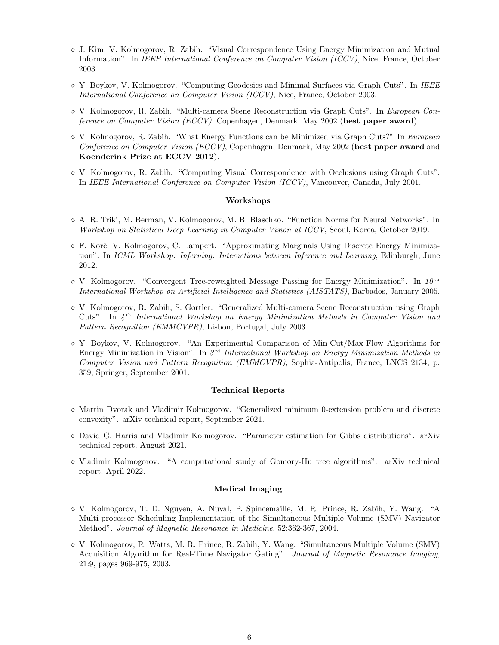- J. Kim, V. Kolmogorov, R. Zabih. "Visual Correspondence Using Energy Minimization and Mutual Information". In IEEE International Conference on Computer Vision (ICCV), Nice, France, October 2003.
- $\Diamond$  Y. Boykov, V. Kolmogorov. "Computing Geodesics and Minimal Surfaces via Graph Cuts". In IEEE International Conference on Computer Vision (ICCV), Nice, France, October 2003.
- $\Diamond$  V. Kolmogorov, R. Zabih. "Multi-camera Scene Reconstruction via Graph Cuts". In European Conference on Computer Vision (ECCV), Copenhagen, Denmark, May 2002 (best paper award).
- $\Diamond$  V. Kolmogorov, R. Zabih. "What Energy Functions can be Minimized via Graph Cuts?" In European Conference on Computer Vision (ECCV), Copenhagen, Denmark, May 2002 (best paper award and Koenderink Prize at ECCV 2012).
- $\Diamond$  V. Kolmogorov, R. Zabih. "Computing Visual Correspondence with Occlusions using Graph Cuts". In IEEE International Conference on Computer Vision (ICCV), Vancouver, Canada, July 2001.

#### Workshops

- $\Diamond$  A. R. Triki, M. Berman, V. Kolmogorov, M. B. Blaschko. "Function Norms for Neural Networks". In Workshop on Statistical Deep Learning in Computer Vision at ICCV, Seoul, Korea, October 2019.
- $\Diamond$  F. Korč, V. Kolmogorov, C. Lampert. "Approximating Marginals Using Discrete Energy Minimization". In ICML Workshop: Inferning: Interactions between Inference and Learning, Edinburgh, June 2012.
- $\Diamond$  V. Kolmogorov. "Convergent Tree-reweighted Message Passing for Energy Minimization". In 10<sup>th</sup> International Workshop on Artificial Intelligence and Statistics (AISTATS), Barbados, January 2005.
- $\Diamond$  V. Kolmogorov, R. Zabih, S. Gortler. "Generalized Multi-camera Scene Reconstruction using Graph Cuts". In  $4<sup>th</sup> International Workshop on Energy Minimization Methods in Computer Vision and$ Pattern Recognition (EMMCVPR), Lisbon, Portugal, July 2003.
- $\Diamond$  Y. Boykov, V. Kolmogorov. "An Experimental Comparison of Min-Cut/Max-Flow Algorithms for Energy Minimization in Vision". In  $3<sup>rd</sup> International Workshop on Energy Minimization Methods in$ Computer Vision and Pattern Recognition (EMMCVPR), Sophia-Antipolis, France, LNCS 2134, p. 359, Springer, September 2001.

#### Technical Reports

- $\Diamond$  Martin Dvorak and Vladimir Kolmogorov. "Generalized minimum 0-extension problem and discrete convexity". arXiv technical report, September 2021.
- $\Diamond$  David G. Harris and Vladimir Kolmogorov. "Parameter estimation for Gibbs distributions". arXiv technical report, August 2021.
- $\Diamond$  Vladimir Kolmogorov. "A computational study of Gomory-Hu tree algorithms". arXiv technical report, April 2022.

#### Medical Imaging

- $\Diamond$  V. Kolmogorov, T. D. Nguyen, A. Nuval, P. Spincemaille, M. R. Prince, R. Zabih, Y. Wang. "A Multi-processor Scheduling Implementation of the Simultaneous Multiple Volume (SMV) Navigator Method". Journal of Magnetic Resonance in Medicine, 52:362-367, 2004.
- $\Diamond$  V. Kolmogorov, R. Watts, M. R. Prince, R. Zabih, Y. Wang. "Simultaneous Multiple Volume (SMV) Acquisition Algorithm for Real-Time Navigator Gating". Journal of Magnetic Resonance Imaging, 21:9, pages 969-975, 2003.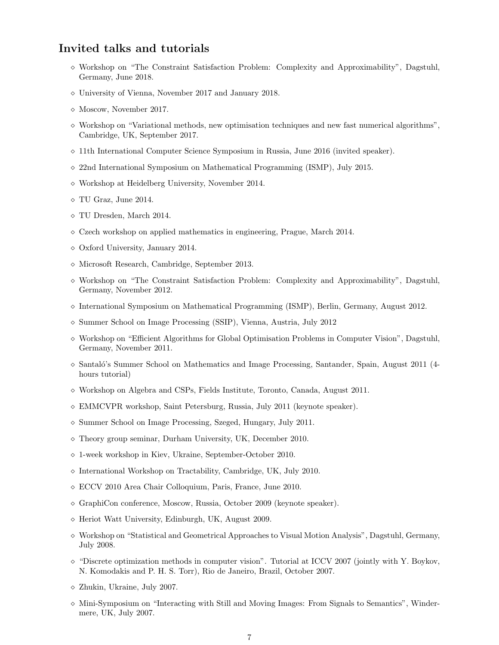### Invited talks and tutorials

- $\diamond$  Workshop on "The Constraint Satisfaction Problem: Complexity and Approximability", Dagstuhl, Germany, June 2018.
- University of Vienna, November 2017 and January 2018.
- $\diamond$  Moscow, November 2017.
- $\Diamond$  Workshop on "Variational methods, new optimisation techniques and new fast numerical algorithms", Cambridge, UK, September 2017.
- $\Diamond$  11th International Computer Science Symposium in Russia, June 2016 (invited speaker).
- $\sim$  22nd International Symposium on Mathematical Programming (ISMP), July 2015.
- Workshop at Heidelberg University, November 2014.
- $\Diamond$  TU Graz, June 2014.
- TU Dresden, March 2014.
- $\Diamond$  Czech workshop on applied mathematics in engineering, Prague, March 2014.
- $\diamond$  Oxford University, January 2014.
- Microsoft Research, Cambridge, September 2013.
- $\Diamond$  Workshop on "The Constraint Satisfaction Problem: Complexity and Approximability", Dagstuhl, Germany, November 2012.
- $\Diamond$  International Symposium on Mathematical Programming (ISMP), Berlin, Germany, August 2012.
- $\diamond$  Summer School on Image Processing (SSIP), Vienna, Austria, July 2012
- $\Diamond$  Workshop on "Efficient Algorithms for Global Optimisation Problems in Computer Vision", Dagstuhl, Germany, November 2011.
- $\circ$  Santaló's Summer School on Mathematics and Image Processing, Santander, Spain, August 2011 (4hours tutorial)
- $\diamond$  Workshop on Algebra and CSPs, Fields Institute, Toronto, Canada, August 2011.
- EMMCVPR workshop, Saint Petersburg, Russia, July 2011 (keynote speaker).
- $\diamond$  Summer School on Image Processing, Szeged, Hungary, July 2011.
- Theory group seminar, Durham University, UK, December 2010.
- 1-week workshop in Kiev, Ukraine, September-October 2010.
- $\diamond$  International Workshop on Tractability, Cambridge, UK, July 2010.
- ECCV 2010 Area Chair Colloquium, Paris, France, June 2010.
- $\Diamond$  GraphiCon conference, Moscow, Russia, October 2009 (keynote speaker).
- $\diamond$  Heriot Watt University, Edinburgh, UK, August 2009.
- Workshop on "Statistical and Geometrical Approaches to Visual Motion Analysis", Dagstuhl, Germany, July 2008.
- $\Diamond$  "Discrete optimization methods in computer vision". Tutorial at ICCV 2007 (jointly with Y. Boykov, N. Komodakis and P. H. S. Torr), Rio de Janeiro, Brazil, October 2007.
- $\diamond$  Zhukin, Ukraine, July 2007.
- $\Diamond$  Mini-Symposium on "Interacting with Still and Moving Images: From Signals to Semantics", Windermere, UK, July 2007.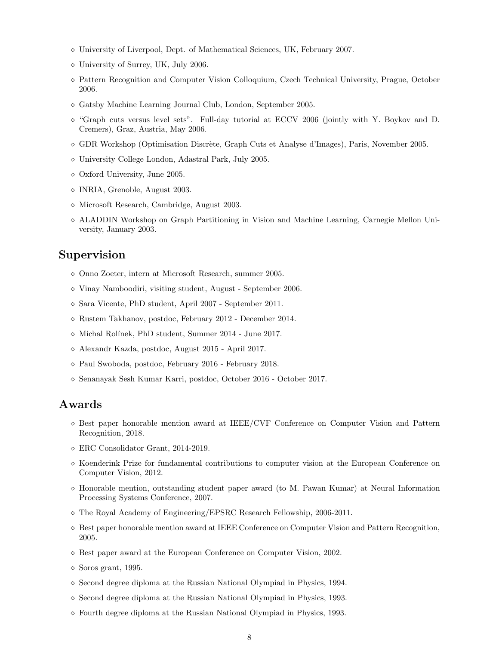- University of Liverpool, Dept. of Mathematical Sciences, UK, February 2007.
- $\diamond$  University of Surrey, UK, July 2006.
- Pattern Recognition and Computer Vision Colloquium, Czech Technical University, Prague, October 2006.
- Gatsby Machine Learning Journal Club, London, September 2005.
- "Graph cuts versus level sets". Full-day tutorial at ECCV 2006 (jointly with Y. Boykov and D. Cremers), Graz, Austria, May 2006.
- $\circ$  GDR Workshop (Optimisation Discrète, Graph Cuts et Analyse d'Images), Paris, November 2005.
- University College London, Adastral Park, July 2005.
- $\diamond$  Oxford University, June 2005.
- INRIA, Grenoble, August 2003.
- Microsoft Research, Cambridge, August 2003.
- ALADDIN Workshop on Graph Partitioning in Vision and Machine Learning, Carnegie Mellon University, January 2003.

### Supervision

- Onno Zoeter, intern at Microsoft Research, summer 2005.
- $\diamond$  Vinay Namboodiri, visiting student, August September 2006.
- Sara Vicente, PhD student, April 2007 September 2011.
- Rustem Takhanov, postdoc, February 2012 December 2014.
- $\diamond$  Michal Rolínek, PhD student, Summer 2014 June 2017.
- Alexandr Kazda, postdoc, August 2015 April 2017.
- Paul Swoboda, postdoc, February 2016 February 2018.
- Senanayak Sesh Kumar Karri, postdoc, October 2016 October 2017.

### Awards

- $\Diamond$  Best paper honorable mention award at IEEE/CVF Conference on Computer Vision and Pattern Recognition, 2018.
- ERC Consolidator Grant, 2014-2019.
- $\Diamond$  Koenderink Prize for fundamental contributions to computer vision at the European Conference on Computer Vision, 2012.
- $\Diamond$  Honorable mention, outstanding student paper award (to M. Pawan Kumar) at Neural Information Processing Systems Conference, 2007.
- $\circ$  The Royal Academy of Engineering/EPSRC Research Fellowship, 2006-2011.
- $\Diamond$  Best paper honorable mention award at IEEE Conference on Computer Vision and Pattern Recognition, 2005.
- $\Diamond$  Best paper award at the European Conference on Computer Vision, 2002.
- $\diamond$  Soros grant, 1995.
- $\Diamond$  Second degree diploma at the Russian National Olympiad in Physics, 1994.
- $\Diamond$  Second degree diploma at the Russian National Olympiad in Physics, 1993.
- Fourth degree diploma at the Russian National Olympiad in Physics, 1993.